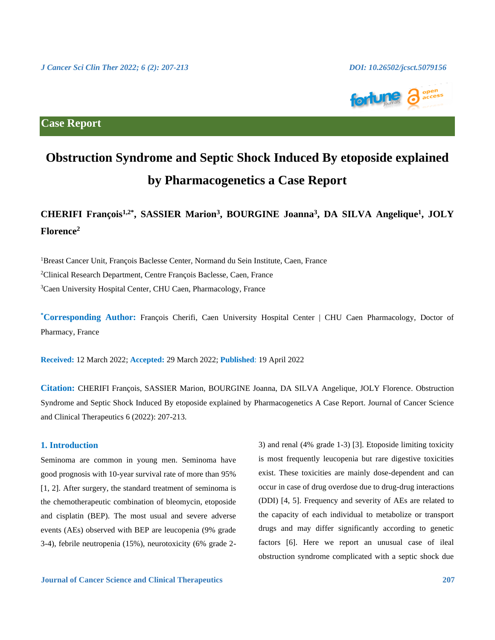

**Case Report**

# **Obstruction Syndrome and Septic Shock Induced By etoposide explained by Pharmacogenetics a Case Report**

## **CHERIFI François1,2\* , SASSIER Marion<sup>3</sup> , BOURGINE Joanna<sup>3</sup> , DA SILVA Angelique<sup>1</sup> , JOLY Florence<sup>2</sup>**

<sup>1</sup>Breast Cancer Unit, François Baclesse Center, Normand du Sein Institute, Caen, France <sup>2</sup>Clinical Research Department, Centre François Baclesse, Caen, France <sup>3</sup>Caen University Hospital Center, CHU Caen, Pharmacology, France

**\*Corresponding Author:** François Cherifi, Caen University Hospital Center | CHU Caen Pharmacology, Doctor of Pharmacy, France

**Received:** 12 March 2022; **Accepted:** 29 March 2022; **Published**: 19 April 2022

**Citation:** CHERIFI François, SASSIER Marion, BOURGINE Joanna, DA SILVA Angelique, JOLY Florence. Obstruction Syndrome and Septic Shock Induced By etoposide explained by Pharmacogenetics A Case Report. Journal of Cancer Science and Clinical Therapeutics 6 (2022): 207-213.

### **1. Introduction**

Seminoma are common in young men. Seminoma have good prognosis with 10-year survival rate of more than 95% [1, 2]. After surgery, the standard treatment of seminoma is the chemotherapeutic combination of bleomycin, etoposide and cisplatin (BEP). The most usual and severe adverse events (AEs) observed with BEP are leucopenia (9% grade 3-4), febrile neutropenia (15%), neurotoxicity (6% grade 23) and renal (4% grade 1-3) [3]. Etoposide limiting toxicity is most frequently leucopenia but rare digestive toxicities exist. These toxicities are mainly dose-dependent and can occur in case of drug overdose due to drug-drug interactions (DDI) [4, 5]. Frequency and severity of AEs are related to the capacity of each individual to metabolize or transport drugs and may differ significantly according to genetic factors [6]. Here we report an unusual case of ileal obstruction syndrome complicated with a septic shock due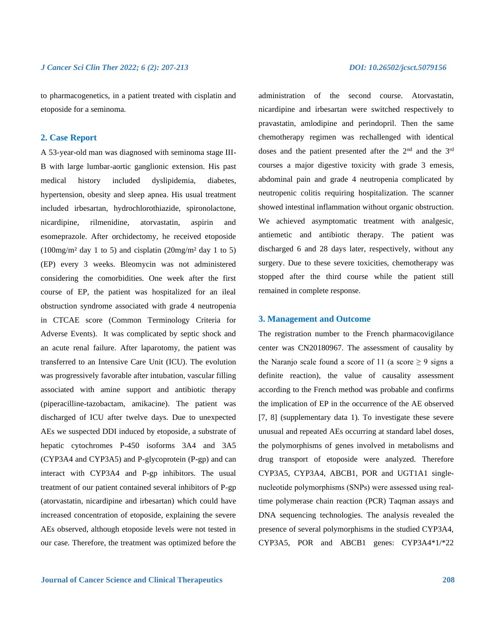to pharmacogenetics, in a patient treated with cisplatin and etoposide for a seminoma.

### **2. Case Report**

A 53-year-old man was diagnosed with seminoma stage III-B with large lumbar-aortic ganglionic extension. His past medical history included dyslipidemia, diabetes, hypertension, obesity and sleep apnea. His usual treatment included irbesartan, hydrochlorothiazide, spironolactone, nicardipine, rilmenidine, atorvastatin, aspirin and esomeprazole. After orchidectomy, he received etoposide  $(100mg/m<sup>2</sup>$  day 1 to 5) and cisplatin  $(20mg/m<sup>2</sup>$  day 1 to 5) (EP) every 3 weeks. Bleomycin was not administered considering the comorbidities. One week after the first course of EP, the patient was hospitalized for an ileal obstruction syndrome associated with grade 4 neutropenia in CTCAE score (Common Terminology Criteria for Adverse Events). It was complicated by septic shock and an acute renal failure. After laparotomy, the patient was transferred to an Intensive Care Unit (ICU). The evolution was progressively favorable after intubation, vascular filling associated with amine support and antibiotic therapy (piperacilline-tazobactam, amikacine). The patient was discharged of ICU after twelve days. Due to unexpected AEs we suspected DDI induced by etoposide, a substrate of hepatic cytochromes P-450 isoforms 3A4 and 3A5 (CYP3A4 and CYP3A5) and P-glycoprotein (P-gp) and can interact with CYP3A4 and P-gp inhibitors. The usual treatment of our patient contained several inhibitors of P-gp (atorvastatin, nicardipine and irbesartan) which could have increased concentration of etoposide, explaining the severe AEs observed, although etoposide levels were not tested in our case. Therefore, the treatment was optimized before the

administration of the second course. Atorvastatin, nicardipine and irbesartan were switched respectively to pravastatin, amlodipine and perindopril. Then the same chemotherapy regimen was rechallenged with identical doses and the patient presented after the 2<sup>nd</sup> and the 3<sup>rd</sup> courses a major digestive toxicity with grade 3 emesis, abdominal pain and grade 4 neutropenia complicated by neutropenic colitis requiring hospitalization. The scanner showed intestinal inflammation without organic obstruction. We achieved asymptomatic treatment with analgesic, antiemetic and antibiotic therapy. The patient was discharged 6 and 28 days later, respectively, without any surgery. Due to these severe toxicities, chemotherapy was stopped after the third course while the patient still remained in complete response.

### **3. Management and Outcome**

The registration number to the French pharmacovigilance center was CN20180967. The assessment of causality by the Naranjo scale found a score of 11 (a score  $\geq$  9 signs a definite reaction), the value of causality assessment according to the French method was probable and confirms the implication of EP in the occurrence of the AE observed [7, 8] (supplementary data 1). To investigate these severe unusual and repeated AEs occurring at standard label doses, the polymorphisms of genes involved in metabolisms and drug transport of etoposide were analyzed. Therefore CYP3A5, CYP3A4, ABCB1, POR and UGT1A1 singlenucleotide polymorphisms (SNPs) were assessed using real‐ time polymerase chain reaction (PCR) Taqman assays and DNA sequencing technologies. The analysis revealed the presence of several polymorphisms in the studied CYP3A4, CYP3A5, POR and ABCB1 genes: CYP3A4\*1/\*22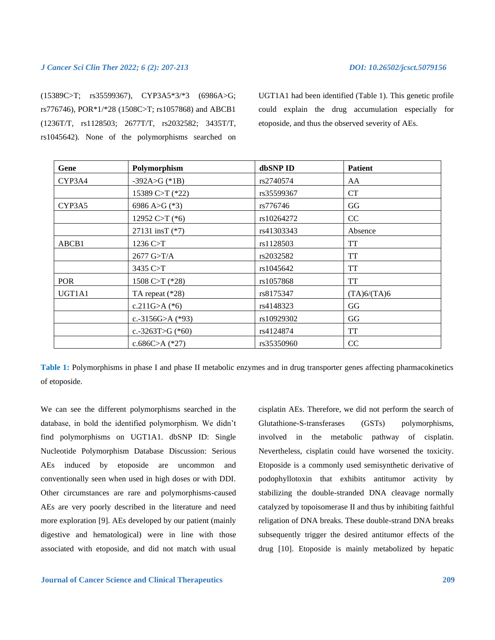### *J Cancer Sci Clin Ther 2022; 6 (2): 207-213 DOI: 10.26502/jcsct.5079156*

(15389C>T; rs35599367), CYP3A5\*3/\*3 (6986A>G; rs776746), POR\*1/\*28 (1508C>T; rs1057868) and ABCB1 (1236T/T, rs1128503; 2677T/T, rs2032582; 3435T/T, rs1045642). None of the polymorphisms searched on

UGT1A1 had been identified (Table 1). This genetic profile could explain the drug accumulation especially for etoposide, and thus the observed severity of AEs.

| Gene       | Polymorphism       | dbSNP ID   | <b>Patient</b> |
|------------|--------------------|------------|----------------|
| CYP3A4     | $-392A > G$ (*1B)  | rs2740574  | AA             |
|            | 15389 C>T (*22)    | rs35599367 | <b>CT</b>      |
| CYP3A5     | 6986 A>G $(*3)$    | rs776746   | GG             |
|            | 12952 C>T $(*6)$   | rs10264272 | CC             |
|            | 27131 insT (*7)    | rs41303343 | Absence        |
| ABCB1      | 1236 C>T           | rs1128503  | <b>TT</b>      |
|            | 2677 G>T/A         | rs2032582  | <b>TT</b>      |
|            | 3435 C>T           | rs1045642  | <b>TT</b>      |
| <b>POR</b> | 1508 C>T (*28)     | rs1057868  | <b>TT</b>      |
| UGT1A1     | TA repeat $(*28)$  | rs8175347  | (TA)6/(TA)6    |
|            | c.211G>A $(*6)$    | rs4148323  | GG             |
|            | c.-3156G>A $(*93)$ | rs10929302 | GG             |
|            | c.-3263T>G $(*60)$ | rs4124874  | <b>TT</b>      |
|            | c.686C>A $(*27)$   | rs35350960 | CC             |

**Table 1:** Polymorphisms in phase I and phase II metabolic enzymes and in drug transporter genes affecting pharmacokinetics of etoposide.

We can see the different polymorphisms searched in the database, in bold the identified polymorphism. We didn't find polymorphisms on UGT1A1. dbSNP ID: Single Nucleotide Polymorphism Database Discussion: Serious AEs induced by etoposide are uncommon and conventionally seen when used in high doses or with DDI. Other circumstances are rare and polymorphisms-caused AEs are very poorly described in the literature and need more exploration [9]. AEs developed by our patient (mainly digestive and hematological) were in line with those associated with etoposide, and did not match with usual

cisplatin AEs. Therefore, we did not perform the search of Glutathione-S-transferases (GSTs) polymorphisms, involved in the metabolic pathway of cisplatin. Nevertheless, cisplatin could have worsened the toxicity. Etoposide is a commonly used semisynthetic derivative of podophyllotoxin that exhibits antitumor activity by stabilizing the double-stranded DNA cleavage normally catalyzed by topoisomerase II and thus by inhibiting faithful religation of DNA breaks. These double-strand DNA breaks subsequently trigger the desired antitumor effects of the drug [10]. Etoposide is mainly metabolized by hepatic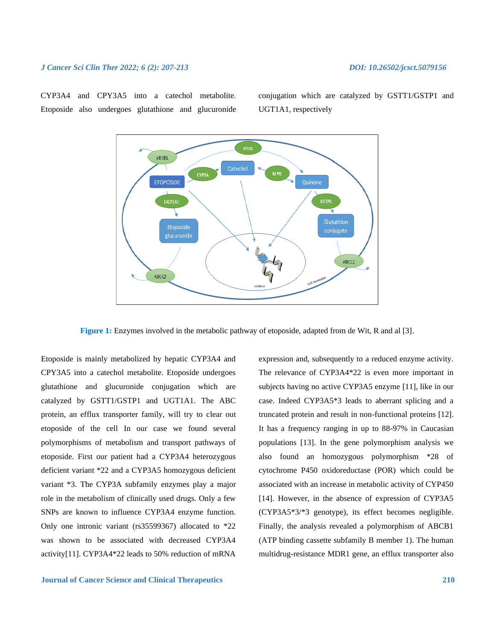### *J Cancer Sci Clin Ther 2022; 6 (2): 207-213 DOI: 10.26502/jcsct.5079156*

CYP3A4 and CPY3A5 into a catechol metabolite. Etoposide also undergoes glutathione and glucuronide conjugation which are catalyzed by GSTT1/GSTP1 and UGT1A1, respectively



**Figure 1:** Enzymes involved in the metabolic pathway of etoposide, adapted from de Wit, R and al [3].

Etoposide is mainly metabolized by hepatic CYP3A4 and CPY3A5 into a catechol metabolite. Etoposide undergoes glutathione and glucuronide conjugation which are catalyzed by GSTT1/GSTP1 and UGT1A1. The ABC protein, an efflux transporter family, will try to clear out etoposide of the cell In our case we found several polymorphisms of metabolism and transport pathways of etoposide. First our patient had a CYP3A4 heterozygous deficient variant \*22 and a CYP3A5 homozygous deficient variant \*3. The CYP3A subfamily enzymes play a major role in the metabolism of clinically used drugs. Only a few SNPs are known to influence CYP3A4 enzyme function. Only one intronic variant (rs35599367) allocated to \*22 was shown to be associated with decreased CYP3A4 activity[11]. CYP3A4\*22 leads to 50% reduction of mRNA

**Journal of Cancer Science and Clinical Therapeutics 210**

expression and, subsequently to a reduced enzyme activity. The relevance of CYP3A4\*22 is even more important in subjects having no active CYP3A5 enzyme [11], like in our case. Indeed CYP3A5\*3 leads to aberrant splicing and a truncated protein and result in non-functional proteins [12]. It has a frequency ranging in up to 88-97% in Caucasian populations [13]. In the gene polymorphism analysis we also found an homozygous polymorphism \*28 of cytochrome P450 oxidoreductase (POR) which could be associated with an increase in metabolic activity of CYP450 [14]. However, in the absence of expression of CYP3A5 (CYP3A5\*3/\*3 genotype), its effect becomes negligible. Finally, the analysis revealed a polymorphism of ABCB1 (ATP binding cassette subfamily B member 1). The human multidrug-resistance MDR1 gene, an efflux transporter also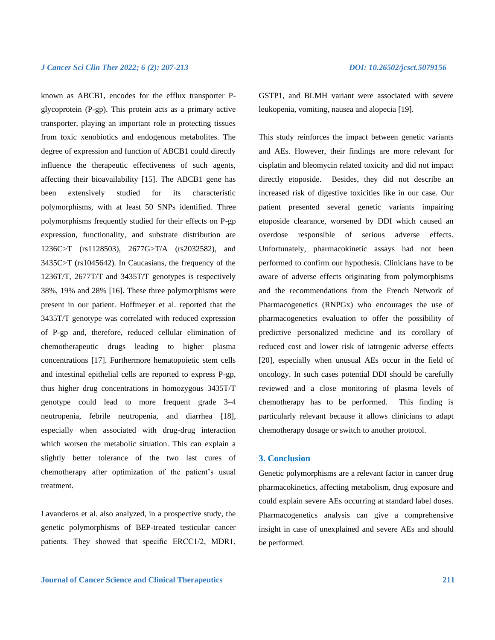known as ABCB1, encodes for the efflux transporter Pglycoprotein (P-gp). This protein acts as a primary active transporter, playing an important role in protecting tissues from toxic xenobiotics and endogenous metabolites. The degree of expression and function of ABCB1 could directly influence the therapeutic effectiveness of such agents, affecting their bioavailability [15]. The ABCB1 gene has been extensively studied for its characteristic polymorphisms, with at least 50 SNPs identified. Three polymorphisms frequently studied for their effects on P-gp expression, functionality, and substrate distribution are 1236C>T (rs1128503), 2677G>T/A (rs2032582), and 3435C>T (rs1045642). In Caucasians, the frequency of the 1236T/T, 2677T/T and 3435T/T genotypes is respectively 38%, 19% and 28% [16]. These three polymorphisms were present in our patient. Hoffmeyer et al. reported that the 3435T/T genotype was correlated with reduced expression of P-gp and, therefore, reduced cellular elimination of chemotherapeutic drugs leading to higher plasma concentrations [17]. Furthermore hematopoietic stem cells and intestinal epithelial cells are reported to express P-gp, thus higher drug concentrations in homozygous 3435T/T genotype could lead to more frequent grade 3–4 neutropenia, febrile neutropenia, and diarrhea [18], especially when associated with drug-drug interaction which worsen the metabolic situation. This can explain a slightly better tolerance of the two last cures of chemotherapy after optimization of the patient's usual treatment.

Lavanderos et al. also analyzed, in a prospective study, the genetic polymorphisms of BEP-treated testicular cancer patients. They showed that specific ERCC1/2, MDR1, GSTP1, and BLMH variant were associated with severe leukopenia, vomiting, nausea and alopecia [19].

This study reinforces the impact between genetic variants and AEs. However, their findings are more relevant for cisplatin and bleomycin related toxicity and did not impact directly etoposide. Besides, they did not describe an increased risk of digestive toxicities like in our case. Our patient presented several genetic variants impairing etoposide clearance, worsened by DDI which caused an overdose responsible of serious adverse effects. Unfortunately, pharmacokinetic assays had not been performed to confirm our hypothesis. Clinicians have to be aware of adverse effects originating from polymorphisms and the recommendations from the French Network of Pharmacogenetics (RNPGx) who encourages the use of pharmacogenetics evaluation to offer the possibility of predictive personalized medicine and its corollary of reduced cost and lower risk of iatrogenic adverse effects [20], especially when unusual AEs occur in the field of oncology. In such cases potential DDI should be carefully reviewed and a close monitoring of plasma levels of chemotherapy has to be performed. This finding is particularly relevant because it allows clinicians to adapt chemotherapy dosage or switch to another protocol.

### **3. Conclusion**

Genetic polymorphisms are a relevant factor in cancer drug pharmacokinetics, affecting metabolism, drug exposure and could explain severe AEs occurring at standard label doses. Pharmacogenetics analysis can give a comprehensive insight in case of unexplained and severe AEs and should be performed.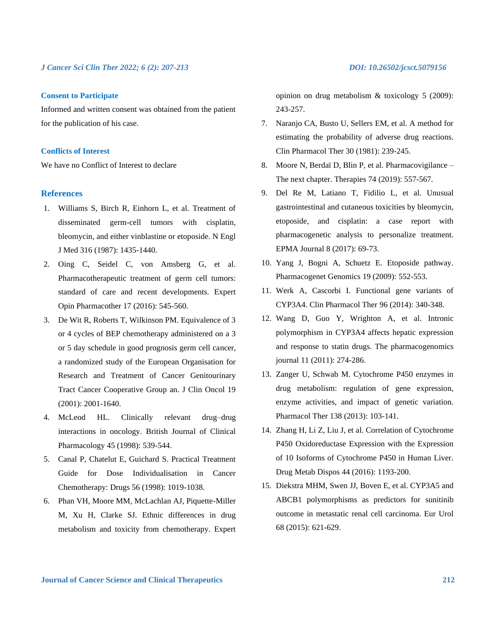### **Consent to Participate**

Informed and written consent was obtained from the patient for the publication of his case.

### **Conflicts of Interest**

We have no Conflict of Interest to declare

### **References**

- 1. Williams S, Birch R, Einhorn L, et al. Treatment of disseminated germ-cell tumors with cisplatin, bleomycin, and either vinblastine or etoposide. N Engl J Med 316 (1987): 1435-1440.
- 2. Oing C, Seidel C, von Amsberg G, et al. Pharmacotherapeutic treatment of germ cell tumors: standard of care and recent developments. Expert Opin Pharmacother 17 (2016): 545-560.
- 3. De Wit R, Roberts T, Wilkinson PM. Equivalence of 3 or 4 cycles of BEP chemotherapy administered on a 3 or 5 day schedule in good prognosis germ cell cancer, a randomized study of the European Organisation for Research and Treatment of Cancer Genitourinary Tract Cancer Cooperative Group an. J Clin Oncol 19 (2001): 2001-1640.
- 4. McLeod HL. Clinically relevant drug–drug interactions in oncology. British Journal of Clinical Pharmacology 45 (1998): 539-544.
- 5. Canal P, Chatelut E, Guichard S. Practical Treatment Guide for Dose Individualisation in Cancer Chemotherapy: Drugs 56 (1998): 1019-1038.
- 6. Phan VH, Moore MM, McLachlan AJ, Piquette-Miller M, Xu H, Clarke SJ. Ethnic differences in drug metabolism and toxicity from chemotherapy. Expert

opinion on drug metabolism & toxicology 5 (2009): 243-257.

- 7. Naranjo CA, Busto U, Sellers EM, et al. A method for estimating the probability of adverse drug reactions. Clin Pharmacol Ther 30 (1981): 239-245.
- 8. Moore N, Berdaï D, Blin P, et al. Pharmacovigilance The next chapter. Therapies 74 (2019): 557-567.
- 9. Del Re M, Latiano T, Fidilio L, et al. Unusual gastrointestinal and cutaneous toxicities by bleomycin, etoposide, and cisplatin: a case report with pharmacogenetic analysis to personalize treatment. EPMA Journal 8 (2017): 69-73.
- 10. Yang J, Bogni A, Schuetz E. Etoposide pathway. Pharmacogenet Genomics 19 (2009): 552-553.
- 11. Werk A, Cascorbi I. Functional gene variants of CYP3A4. Clin Pharmacol Ther 96 (2014): 340-348.
- 12. Wang D, Guo Y, Wrighton A, et al. Intronic polymorphism in CYP3A4 affects hepatic expression and response to statin drugs. The pharmacogenomics journal 11 (2011): 274-286.
- 13. Zanger U, Schwab M. Cytochrome P450 enzymes in drug metabolism: regulation of gene expression, enzyme activities, and impact of genetic variation. Pharmacol Ther 138 (2013): 103-141.
- 14. Zhang H, Li Z, Liu J, et al. Correlation of Cytochrome P450 Oxidoreductase Expression with the Expression of 10 Isoforms of Cytochrome P450 in Human Liver. Drug Metab Dispos 44 (2016): 1193-200.
- 15. Diekstra MHM, Swen JJ, Boven E, et al. CYP3A5 and ABCB1 polymorphisms as predictors for sunitinib outcome in metastatic renal cell carcinoma. Eur Urol 68 (2015): 621-629.